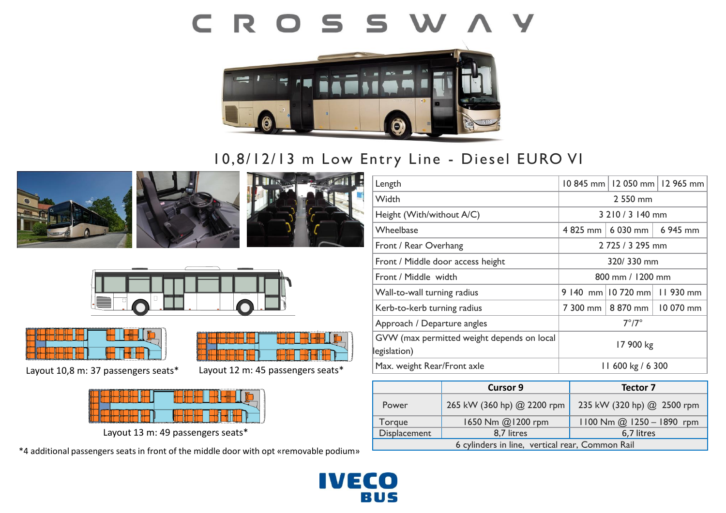# CROSSWAY



## 10,8/12/13 m Low Entry Line - Diesel EURO VI











Layout 10,8 m: 37 passengers seats\*



Layout 12 m: 45 passengers seats\*

Layout 13 m: 49 passengers seats\*

\*4 additional passengers seats in front of the middle door with opt «removable podium»

| Length                                                     |                       | 10 845 mm   12 050 mm   12 965 mm |  |
|------------------------------------------------------------|-----------------------|-----------------------------------|--|
| Width                                                      | 2 550 mm              |                                   |  |
| Height (With/without A/C)                                  | 3 210 / 3 140 mm      |                                   |  |
| Wheelbase                                                  | 4 825 mm              | 6 030 mm $\vert$ 6 945 mm         |  |
| Front / Rear Overhang                                      | 2 725 / 3 295 mm      |                                   |  |
| Front / Middle door access height                          | 320/330 mm            |                                   |  |
| Front / Middle width                                       | 800 mm / 1200 mm      |                                   |  |
| Wall-to-wall turning radius                                |                       | 9 140 mm 10 720 mm 11 930 mm      |  |
| Kerb-to-kerb turning radius                                | 7 300 mm              | 8 870 mm   10 070 mm              |  |
| Approach / Departure angles                                | $7^{\circ}/7^{\circ}$ |                                   |  |
| GVW (max permitted weight depends on local<br>legislation) | 17 900 kg             |                                   |  |
| Max. weight Rear/Front axle                                | 11 600 kg / 6 300     |                                   |  |

|                                                 | <b>Cursor 9</b>            | Tector 7                      |
|-------------------------------------------------|----------------------------|-------------------------------|
| Power                                           | 265 kW (360 hp) @ 2200 rpm | 235 kW (320 hp) @ 2500 rpm    |
| Torque                                          | 1650 Nm @1200 rpm          | $1100$ Nm $@$ 1250 - 1890 rpm |
| Displacement                                    | 8,7 litres                 | 6,7 litres                    |
| 6 cylinders in line, vertical rear, Common Rail |                            |                               |